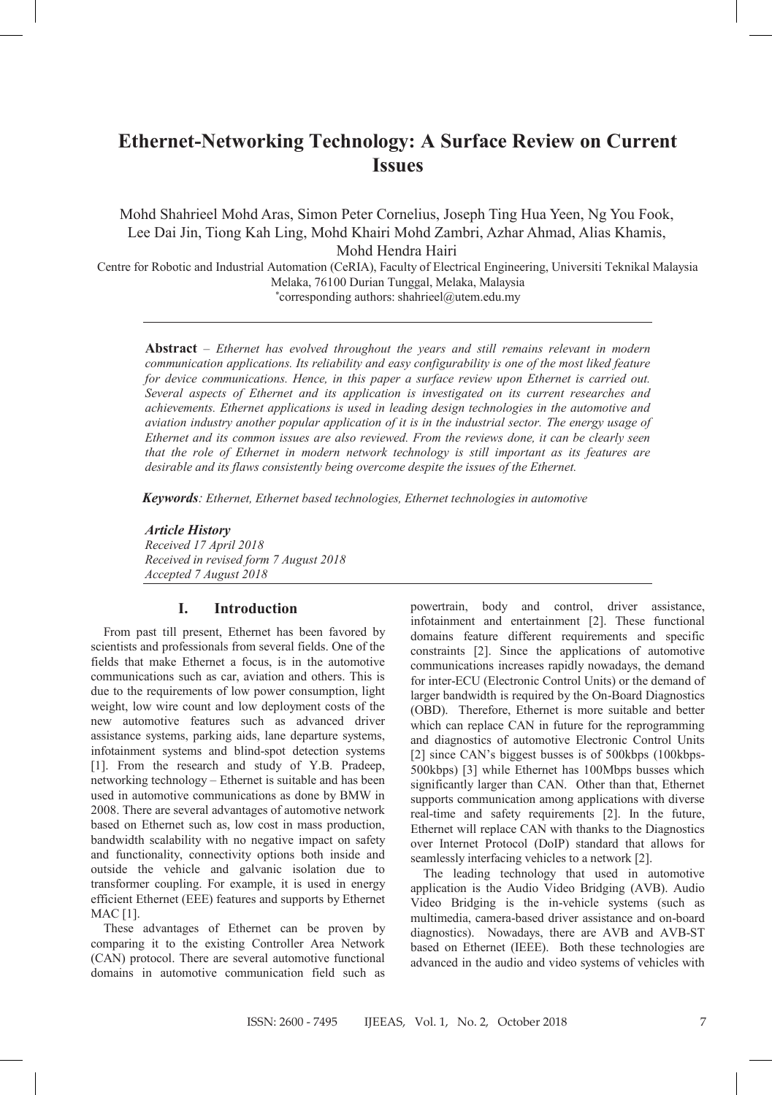## **Ethernet-Networking Technology: A Surface Review on Current Issues**

Mohd Shahrieel Mohd Aras, Simon Peter Cornelius, Joseph Ting Hua Yeen, Ng You Fook, Lee Dai Jin, Tiong Kah Ling, Mohd Khairi Mohd Zambri, Azhar Ahmad, Alias Khamis, Mohd Hendra Hairi

Centre for Robotic and Industrial Automation (CeRIA), Faculty of Electrical Engineering, Universiti Teknikal Malaysia Melaka, 76100 Durian Tunggal, Melaka, Malaysia

\*corresponding authors: shahrieel@utem.edu.my

**Abstract** – *Ethernet has evolved throughout the years and still remains relevant in modern communication applications. Its reliability and easy configurability is one of the most liked feature for device communications. Hence, in this paper a surface review upon Ethernet is carried out. Several aspects of Ethernet and its application is investigated on its current researches and achievements. Ethernet applications is used in leading design technologies in the automotive and aviation industry another popular application of it is in the industrial sector. The energy usage of Ethernet and its common issues are also reviewed. From the reviews done, it can be clearly seen that the role of Ethernet in modern network technology is still important as its features are desirable and its flaws consistently being overcome despite the issues of the Ethernet.*

*Keywords: Ethernet, Ethernet based technologies, Ethernet technologies in automotive*

#### *Article History*

*Received 17 April 2018 Received in revised form 7 August 2018 Accepted 7 August 2018*

### **I. Introduction**

From past till present, Ethernet has been favored by scientists and professionals from several fields. One of the fields that make Ethernet a focus, is in the automotive communications such as car, aviation and others. This is due to the requirements of low power consumption, light weight, low wire count and low deployment costs of the new automotive features such as advanced driver assistance systems, parking aids, lane departure systems, infotainment systems and blind-spot detection systems [1]. From the research and study of Y.B. Pradeep, networking technology – Ethernet is suitable and has been used in automotive communications as done by BMW in 2008. There are several advantages of automotive network based on Ethernet such as, low cost in mass production, bandwidth scalability with no negative impact on safety and functionality, connectivity options both inside and outside the vehicle and galvanic isolation due to transformer coupling. For example, it is used in energy efficient Ethernet (EEE) features and supports by Ethernet MAC [1].

These advantages of Ethernet can be proven by comparing it to the existing Controller Area Network (CAN) protocol. There are several automotive functional domains in automotive communication field such as

powertrain, body and control, driver assistance, infotainment and entertainment [2]. These functional domains feature different requirements and specific constraints [2]. Since the applications of automotive communications increases rapidly nowadays, the demand for inter-ECU (Electronic Control Units) or the demand of larger bandwidth is required by the On-Board Diagnostics (OBD). Therefore, Ethernet is more suitable and better which can replace CAN in future for the reprogramming and diagnostics of automotive Electronic Control Units [2] since CAN's biggest busses is of 500kbps (100kbps-500kbps) [3] while Ethernet has 100Mbps busses which significantly larger than CAN. Other than that, Ethernet supports communication among applications with diverse real-time and safety requirements [2]. In the future, Ethernet will replace CAN with thanks to the Diagnostics over Internet Protocol (DoIP) standard that allows for seamlessly interfacing vehicles to a network [2].

The leading technology that used in automotive application is the Audio Video Bridging (AVB). Audio Video Bridging is the in-vehicle systems (such as multimedia, camera-based driver assistance and on-board diagnostics). Nowadays, there are AVB and AVB-ST based on Ethernet (IEEE). Both these technologies are advanced in the audio and video systems of vehicles with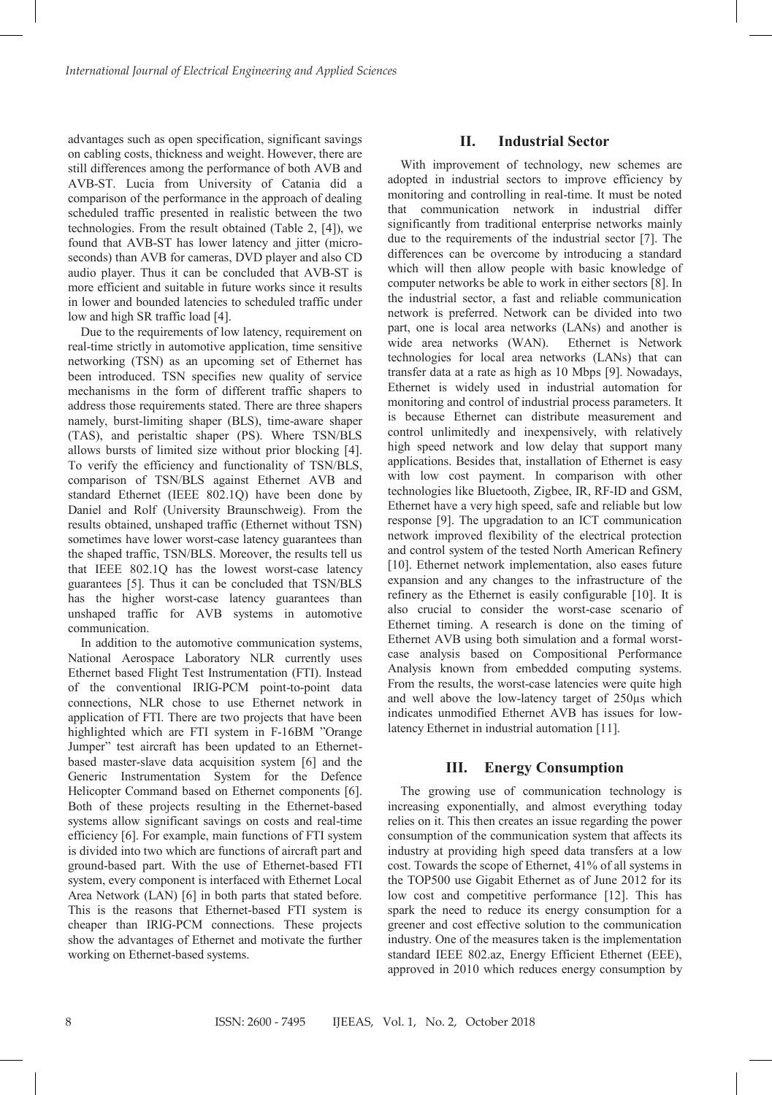advantages such as open specification, significant savings on cabling costs, thickness and weight. However, there are still differences among the performance of both AVB and AVB-ST. Lucia from University of Catania did a comparison of the performance in the approach of dealing scheduled traffic presented in realistic between the two technologies. From the result obtained (Table 2, [4]), we found that AVB-ST has lower latency and jitter (microseconds) than AVB for cameras, DVD player and also CD audio player. Thus it can be concluded that AVB-ST is more efficient and suitable in future works since it results in lower and bounded latencies to scheduled traffic under low and high SR traffic load [4].

Due to the requirements of low latency, requirement on real-time strictly in automotive application, time sensitive networking (TSN) as an upcoming set of Ethernet has been introduced. TSN specifies new quality of service mechanisms in the form of different traffic shapers to address those requirements stated. There are three shapers namely, burst-limiting shaper (BLS), time-aware shaper (TAS), and peristaltic shaper (PS). Where TSN/BLS allows bursts of limited size without prior blocking [4]. To verify the efficiency and functionality of TSN/BLS, comparison of TSN/BLS against Ethernet AVB and standard Ethernet (IEEE 802.1Q) have been done by Daniel and Rolf (University Braunschweig). From the results obtained, unshaped traffic (Ethernet without TSN) sometimes have lower worst-case latency guarantees than the shaped traffic, TSN/BLS. Moreover, the results tell us that IEEE 802.1Q has the lowest worst-case latency guarantees [5]. Thus it can be concluded that TSN/BLS has the higher worst-case latency guarantees than unshaped traffic for AVB systems in automotive communication.

In addition to the automotive communication systems, National Aerospace Laboratory NLR currently uses Ethernet based Flight Test Instrumentation (FTI). Instead of the conventional IRIG-PCM point-to-point data connections, NLR chose to use Ethernet network in application of FTI. There are two projects that have been highlighted which are FTI system in F-16BM "Orange Jumper" test aircraft has been updated to an Ethernetbased master-slave data acquisition system [6] and the Generic Instrumentation System for the Defence Helicopter Command based on Ethernet components [6]. Both of these projects resulting in the Ethernet-based systems allow significant savings on costs and real-time efficiency [6]. For example, main functions of FTI system is divided into two which are functions of aircraft part and ground-based part. With the use of Ethernet-based FTI system, every component is interfaced with Ethernet Local Area Network (LAN) [6] in both parts that stated before. This is the reasons that Ethernet-based FTI system is cheaper than IRIG-PCM connections. These projects show the advantages of Ethernet and motivate the further working on Ethernet-based systems.

#### **II. Industrial Sector**

With improvement of technology, new schemes are adopted in industrial sectors to improve efficiency by monitoring and controlling in real-time. It must be noted that communication network in industrial differ significantly from traditional enterprise networks mainly due to the requirements of the industrial sector [7]. The differences can be overcome by introducing a standard which will then allow people with basic knowledge of computer networks be able to work in either sectors [8]. In the industrial sector, a fast and reliable communication network is preferred. Network can be divided into two part, one is local area networks (LANs) and another is wide area networks (WAN). technologies for local area networks (LANs) that can transfer data at a rate as high as 10 Mbps [9]. Nowadays, Ethernet is widely used in industrial automation for monitoring and control of industrial process parameters. It is because Ethernet can distribute measurement and control unlimitedly and inexpensively, with relatively high speed network and low delay that support many applications. Besides that, installation of Ethernet is easy with low cost payment. In comparison with other technologies like Bluetooth, Zigbee, IR, RF-ID and GSM, Ethernet have a very high speed, safe and reliable but low response [9]. The upgradation to an ICT communication network improved flexibility of the electrical protection and control system of the tested North American Refinery [10]. Ethernet network implementation, also eases future expansion and any changes to the infrastructure of the refinery as the Ethernet is easily configurable [10]. It is also crucial to consider the worst-case scenario of Ethernet timing. A research is done on the timing of Ethernet AVB using both simulation and a formal worstcase analysis based on Compositional Performance Analysis known from embedded computing systems. From the results, the worst-case latencies were quite high and well above the low-latency target of 250µs which indicates unmodified Ethernet AVB has issues for lowlatency Ethernet in industrial automation [11].

#### **III. Energy Consumption**

The growing use of communication technology is increasing exponentially, and almost everything today relies on it. This then creates an issue regarding the power consumption of the communication system that affects its industry at providing high speed data transfers at a low cost. Towards the scope of Ethernet, 41% of all systems in the TOP500 use Gigabit Ethernet as of June 2012 for its low cost and competitive performance [12]. This has spark the need to reduce its energy consumption for a greener and cost effective solution to the communication industry. One of the measures taken is the implementation standard IEEE 802.az, Energy Efficient Ethernet (EEE), approved in 2010 which reduces energy consumption by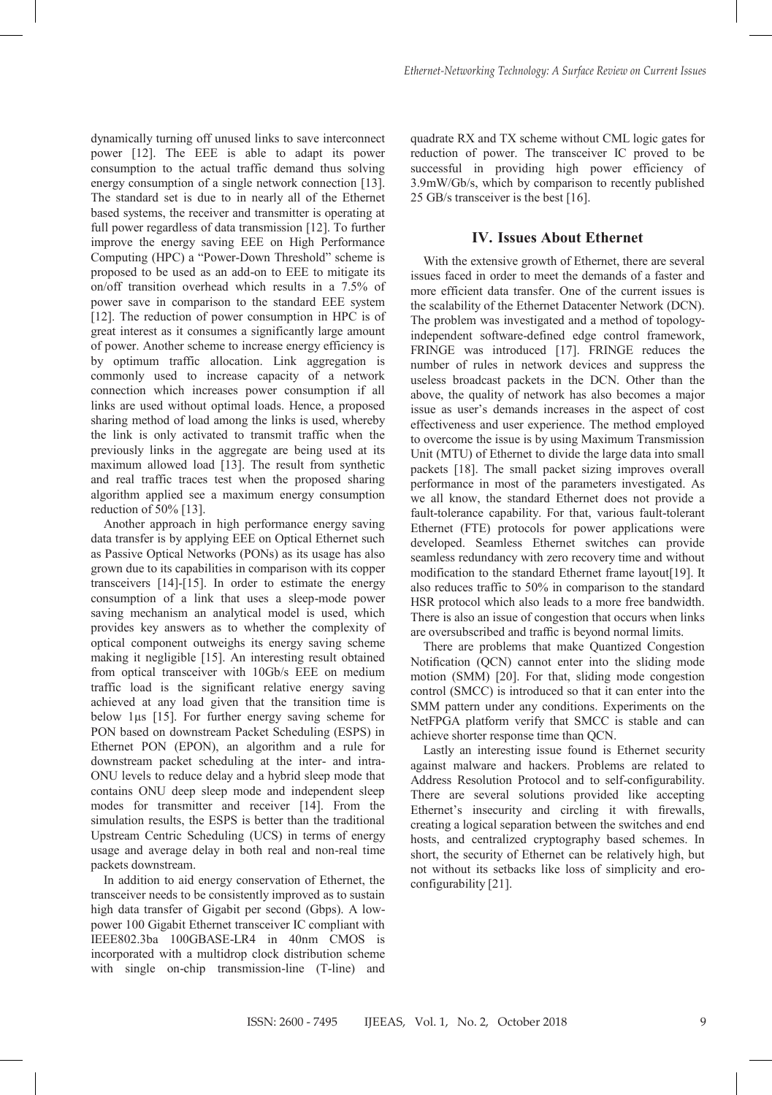dynamically turning off unused links to save interconnect power [12]. The EEE is able to adapt its power consumption to the actual traffic demand thus solving energy consumption of a single network connection [13]. The standard set is due to in nearly all of the Ethernet based systems, the receiver and transmitter is operating at full power regardless of data transmission [12]. To further improve the energy saving EEE on High Performance Computing (HPC) a "Power-Down Threshold" scheme is proposed to be used as an add-on to EEE to mitigate its on/off transition overhead which results in a 7.5% of power save in comparison to the standard EEE system [12]. The reduction of power consumption in HPC is of great interest as it consumes a significantly large amount of power. Another scheme to increase energy efficiency is by optimum traffic allocation. Link aggregation is commonly used to increase capacity of a network connection which increases power consumption if all links are used without optimal loads. Hence, a proposed sharing method of load among the links is used, whereby the link is only activated to transmit traffic when the previously links in the aggregate are being used at its maximum allowed load [13]. The result from synthetic and real traffic traces test when the proposed sharing algorithm applied see a maximum energy consumption reduction of 50% [13].

Another approach in high performance energy saving data transfer is by applying EEE on Optical Ethernet such as Passive Optical Networks (PONs) as its usage has also grown due to its capabilities in comparison with its copper transceivers [14]-[15]. In order to estimate the energy consumption of a link that uses a sleep-mode power saving mechanism an analytical model is used, which provides key answers as to whether the complexity of optical component outweighs its energy saving scheme making it negligible [15]. An interesting result obtained from optical transceiver with 10Gb/s EEE on medium traffic load is the significant relative energy saving achieved at any load given that the transition time is below 1µs [15]. For further energy saving scheme for PON based on downstream Packet Scheduling (ESPS) in Ethernet PON (EPON), an algorithm and a rule for downstream packet scheduling at the inter- and intra-ONU levels to reduce delay and a hybrid sleep mode that contains ONU deep sleep mode and independent sleep modes for transmitter and receiver [14]. From the simulation results, the ESPS is better than the traditional Upstream Centric Scheduling (UCS) in terms of energy usage and average delay in both real and non-real time packets downstream. it consumes a significantly large<br>ar scheme to increase energy effice<br>affice allocation. Link agreegase<br>If to increase capacity of a 1<br>th increases power consumption<br>ithout optimal loads. Hence, a p<br>of load among the links

In addition to aid energy conservation of Ethernet, the transceiver needs to be consistently improved as to sustain high data transfer of Gigabit per second (Gbps). A lowpower 100 Gigabit Ethernet transceiver IC compliant with IEEE802.3ba 100GBASE-LR4 in 40nm CMOS is incorporated with a multidrop clock distribution scheme with single on-chip transmission-line (T-line) and

quadrate RX and TX scheme without CML logic gates for reduction of power. The transceiver IC proved to be successful in providing high power efficiency of 3.9mW/Gb/s, which by comparison to recently published 25 GB/s transceiver is the best [16].

#### **IV. Issues About Ethernet**

With the extensive growth of Ethernet, there are several issues faced in order to meet the demands of a faster and more efficient data transfer. One of the current issues is the scalability of the Ethernet Datacenter Network (DCN). The problem was investigated and a method of topologyindependent software-defined edge control framework, FRINGE was introduced [17]. FRINGE reduces the number of rules in network devices and suppress the useless broadcast packets in the DCN. Other than the above, the quality of network has also becomes a major issue as user's demands increases in the aspect of cost effectiveness and user experience. The method employed to overcome the issue is by using Maximum Transmission Unit (MTU) of Ethernet to divide the large data into small packets [18]. The small packet sizing improves overall performance in most of the parameters investigated. As we all know, the standard Ethernet does not provide a fault-tolerance capability. For that, various fault-tolerant Ethernet (FTE) protocols for power applications were developed. Seamless Ethernet switches can provide seamless redundancy with zero recovery time and without modification to the standard Ethernet frame layout[19]. It also reduces traffic to 50% in comparison to the standard HSR protocol which also leads to a more free bandwidth. There is also an issue of congestion that occurs when links are oversubscribed and traffic is beyond normal limits.

There are problems that make Quantized Congestion Notification (QCN) cannot enter into the sliding mode motion (SMM) [20]. For that, sliding mode congestion control (SMCC) is introduced so that it can enter into the SMM pattern under any conditions. Experiments on the NetFPGA platform verify that SMCC is stable and can achieve shorter response time than QCN.

Lastly an interesting issue found is Ethernet security against malware and hackers. Problems are related to Address Resolution Protocol and to self-configurability. There are several solutions provided like accepting Ethernet's insecurity and circling it with firewalls, creating a logical separation between the switches and end hosts, and centralized cryptography based schemes. In short, the security of Ethernet can be relatively high, but not without its setbacks like loss of simplicity and eroconfigurability [21].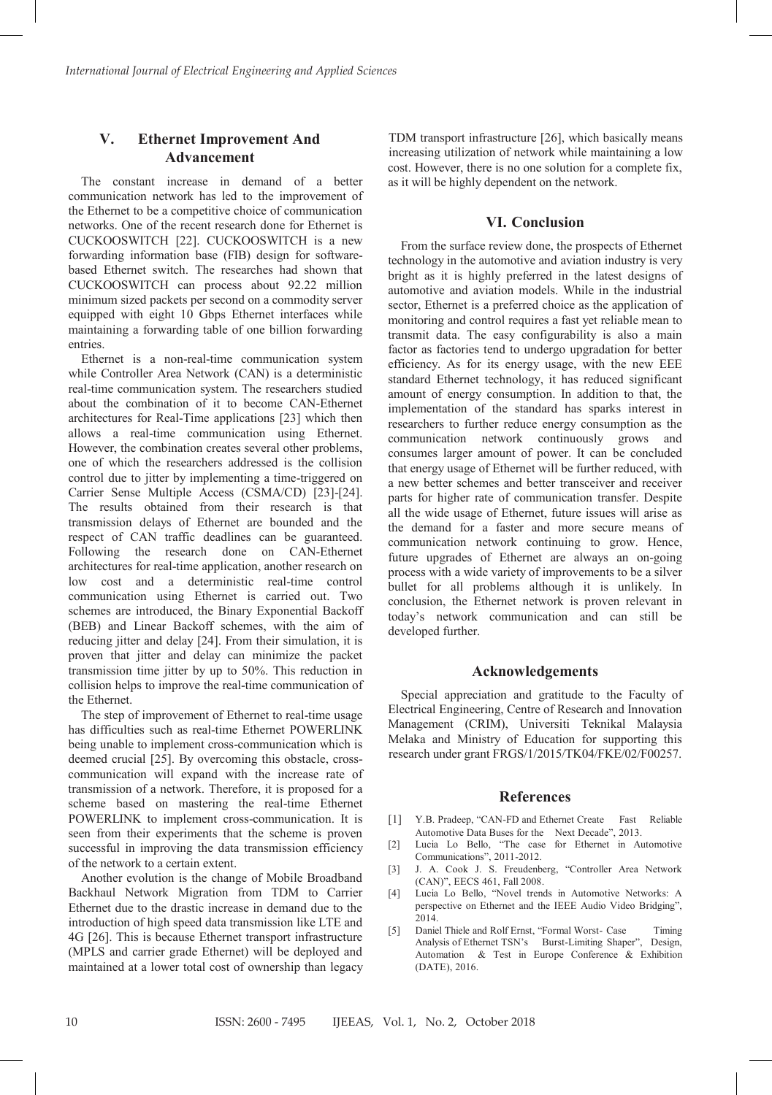## *International Journal of Electrical Engineering and Applied Sciences* **V. Ethernet Improvement And**  Advancement

simulation results, the ESPS is better than the traditional Upstream Centric Scheduling (UCS) in terms of energy usage and average delay in both real and non-real time

> The constant increase in demand of a better communication network has led to the improvement of the Ethernet to be a competitive choice of communication networks. One of the recent research done for Ethernet is  $\alpha$ CUCKOOSWITCH [22]. CUCKOOSWITCH is a new forwarding information base (FIB) design for softwarebased Ethernet switch. The researches had shown that  $CUCCOCWITCU$  $CUCKOOSWITCH$  can process about 92.22 million minimum sized packets per second on a commodity server equipped with eight 10 Gbps Ethernet interfaces while maintaining a forwarding table of one billion forwarding entries. The constant increase in demand of a better communication network has led to the improvement of<br>the Ethernet to be a competitive choice of communication<br>networks. One of the recent research done for Ethernet is  $t$ rnes. communication network has led to the improvement of the constant increase in demand of a better

entries.<br>
Ethernet is a non-real-time communication system Ethernet is a non-real-time communication system.<br>while Controller Area Network (CAN) is a deterministic real-time communication system. The researchers studied about the combination of it to become CAN-Ethernet. architectures for Real-Time applications [23] which then allows a real-time communication using Ethernet. However, the combination creates several other problems, one of which the researchers addressed is the collision control due to jitter by implementing a time-triggered on  $\tilde{C}$ Carrier Sense Multiple Access (CSMA/CD) [23]-[24]. The results obtained from their research is that transmission delays of Ethernet are bounded and the respect of CAN traffic deadlines can be guaranteed. Following the research done on CAN-Ethernet architectures for real-time application, another research on low cost and a deterministic real-time control communication using Ethernet is carried out. Two schemes are introduced, the Binary Exponential Backoff  $(BEB)$  and Linear Backoff schemes, with the aim of reducing jitter and delay [24]. From their simulation, it is reducing jitter and delay [24]. From their simulation, it is<br>proven that jitter and delay can minimize the packet transmission time jitter by up to 50%. This reduction in collision helps to improve the real-time communication of the Ethernet. Carrier Sense Multiple Access (CSMA/CD) [23]-[24].<br>The results obtained from their research is that transmission delays of Ethernet are bounded and the reflect is a non-real-time communication system. respect traffic dealers of CAN traffic dealers contained. The guaranteed can be guaranteed and be guaranteed.  $\frac{1}{2}$  difference such as  $\frac{1}{2}$  difference  $\frac{1}{2}$  different POWERLINK

The step of improvement of Ethernet to real-time usage has difficulties such as real-time Ethernet POWERLINK being unable to implement cross-communication which is deemed crucial [25]. By overcoming this obstacle, crosscommunication will expand with the increase rate of transmission of a network. Therefore, it is proposed for a transmission of a network. Therefore, it is proposed for a scheme based on mastering the real-time Ethernet POWERLINK to implement cross-communication. It is seen from their experiments that the scheme is proven successful in improving the data transmission efficiency of the network to a certain extent. I he step of improvement of Ethernet to real-time usage  $\delta$  and  $\delta$  and  $\delta$  are  $\delta$  carrier from TDM to  $\delta$  Carrier  $\delta$  Carrier from TDM to  $\delta$ 

Another evolution is the change of Mobile Broadband Backhaul Network Migration from TDM to Carrier Ethernet due to the drastic increase in demand due to the  $\frac{1}{2}$ introduction of high speed data transmission like LTE and introduction of high speed data transmission like LTE and<br>4G [26]. This is because Ethernet transport infrastructure (MPLS and carrier grade Ethernet) will be deployed and maintained at a lower total cost of ownership than legacy Another evolution is the change of Mobile Broadband

as it will be highly dependent on the network. cost. However, there is no one solution for a complete fix, TDM transport infrastructure [26], which basically means increasing utilization of network while maintaining a low [1] Y.B. Pradeep, "CAN-FD and Ethernet Create Fast Reliable Automotive Data Buses for the Next Decade", 2013.

Communications", 2011-2012.

# **VI. Conclusion**

From the surface review done, the prospects of Ethernet technology in the automotive and aviation industry is very bright as it is highly preferred in the latest designs of automotive and aviation models. While in the industrial sector, Ethernet is a preferred choice as the application of sector, Ethernet is a preferred choice as the application of<br>monitoring and control requires a fast yet reliable mean to transmit data. The easy configurability is also a main factor as factories tend to undergo upgradation for better efficiency. As for its energy usage, with the new EEE standard Ethernet technology, it has reduced significant amount of energy consumption. In addition to that, the implementation of the standard has sparks interest in researchers to further reduce energy consumption as the communication network continuously grows and consumes larger amount of power. It can be concluded that energy usage of Ethernet will be further reduced, with a new better schemes and better transceiver and receiver parts for higher rate of communication transfer. Despite all the wide usage of Ethernet, future issues will arise as the demand for a faster and more secure means of communication network continuing to grow. Hence, future upgrades of Ethernet are always an on-going process with a wide variety of improvements to be a silver bullet for all problems although it is unlikely. In conclusion, the Ethernet network is proven relevant in today's network communication and can still be developed further. From the surface review done, the prospects of Ethernet From the surface review done, the prospects of Ethernet

#### **Acknowledgements Acknowledgements**

Special appreciation and gratitude to the Faculty of Electrical Engineering, Centre of Research and Innovation Management (CRIM), Universiti Teknikal Malaysia Melaka and Ministry of Education for supporting this research under grant FRGS/1/2015/TK04/FKE/02/F00257. Special appreciation and gratitude to the Faculty of Special appreciation and gratitude to the Faculty of

#### **References**

- **Reference**<br>**Reference References** [1] Y.B. Pradeep, "CAN-FD and Ethernet Create Fast Reliable Automotive Data Buses for the Next Decade", 2013.
- [2] Lucia Lo Bello, "The case for Ethernet in Automotive Communications", 2011-2012.
- [3] J. A. Cook J. S. Freudenberg, "Controller Area Network (CAN)", EECS 461, Fall 2008.  $(CAN)$ ",  $EECS$  461, Fall 2008.
- [4] Lucia Lo Bello, "Novel trends in Automotive Networks: A perspective on Ethernet and the IEEE Audio Video Bridging",  $2014.$  $p_{2014}$ 2014.
- [5] Daniel Thiele and Rolf Ernst, "Formal Worst- Case Timing Analysis of Ethernet TSN's Burst-Limiting Shaper", Design, Automation & Test in Europe Conference & Exhibition (DATE), 2016.  $(DATE), 2016.$